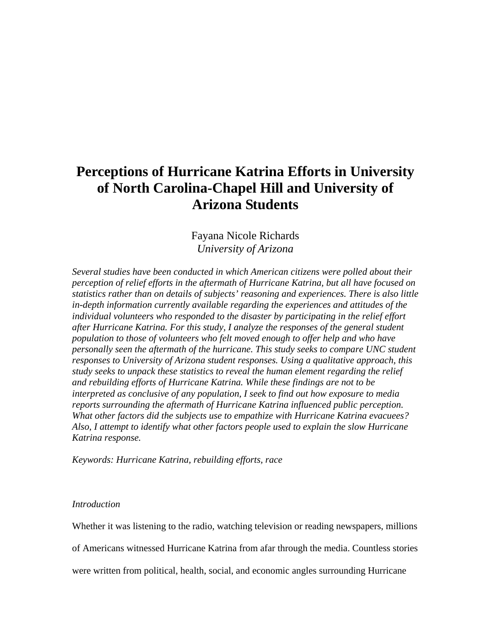# **Perceptions of Hurricane Katrina Efforts in University of North Carolina-Chapel Hill and University of Arizona Students**

Fayana Nicole Richards *University of Arizona* 

*Several studies have been conducted in which American citizens were polled about their perception of relief efforts in the aftermath of Hurricane Katrina, but all have focused on statistics rather than on details of subjects' reasoning and experiences. There is also little in-depth information currently available regarding the experiences and attitudes of the individual volunteers who responded to the disaster by participating in the relief effort after Hurricane Katrina. For this study, I analyze the responses of the general student population to those of volunteers who felt moved enough to offer help and who have personally seen the aftermath of the hurricane. This study seeks to compare UNC student responses to University of Arizona student responses. Using a qualitative approach, this study seeks to unpack these statistics to reveal the human element regarding the relief and rebuilding efforts of Hurricane Katrina. While these findings are not to be interpreted as conclusive of any population, I seek to find out how exposure to media reports surrounding the aftermath of Hurricane Katrina influenced public perception. What other factors did the subjects use to empathize with Hurricane Katrina evacuees? Also, I attempt to identify what other factors people used to explain the slow Hurricane Katrina response.* 

*Keywords: Hurricane Katrina, rebuilding efforts, race* 

# *Introduction*

Whether it was listening to the radio, watching television or reading newspapers, millions

of Americans witnessed Hurricane Katrina from afar through the media. Countless stories

were written from political, health, social, and economic angles surrounding Hurricane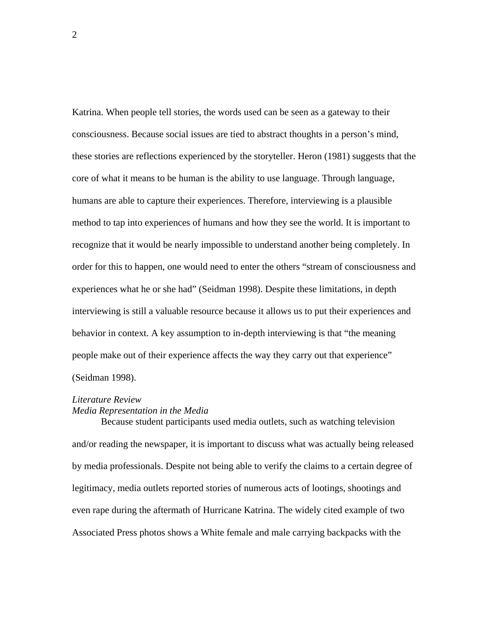Katrina. When people tell stories, the words used can be seen as a gateway to their consciousness. Because social issues are tied to abstract thoughts in a person's mind, these stories are reflections experienced by the storyteller. Heron (1981) suggests that the core of what it means to be human is the ability to use language. Through language, humans are able to capture their experiences. Therefore, interviewing is a plausible method to tap into experiences of humans and how they see the world. It is important to recognize that it would be nearly impossible to understand another being completely. In order for this to happen, one would need to enter the others "stream of consciousness and experiences what he or she had" (Seidman 1998). Despite these limitations, in depth interviewing is still a valuable resource because it allows us to put their experiences and behavior in context. A key assumption to in-depth interviewing is that "the meaning people make out of their experience affects the way they carry out that experience" (Seidman 1998).

## *Literature Review*

## *Media Representation in the Media*

 Because student participants used media outlets, such as watching television and/or reading the newspaper, it is important to discuss what was actually being released by media professionals. Despite not being able to verify the claims to a certain degree of legitimacy, media outlets reported stories of numerous acts of lootings, shootings and even rape during the aftermath of Hurricane Katrina. The widely cited example of two Associated Press photos shows a White female and male carrying backpacks with the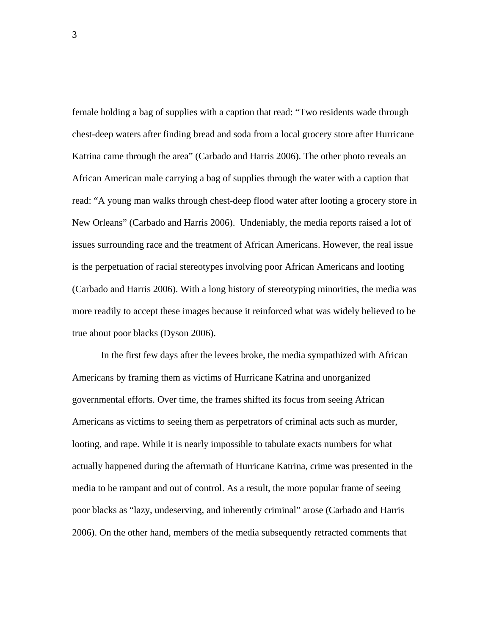female holding a bag of supplies with a caption that read: "Two residents wade through chest-deep waters after finding bread and soda from a local grocery store after Hurricane Katrina came through the area" (Carbado and Harris 2006). The other photo reveals an African American male carrying a bag of supplies through the water with a caption that read: "A young man walks through chest-deep flood water after looting a grocery store in New Orleans" (Carbado and Harris 2006). Undeniably, the media reports raised a lot of issues surrounding race and the treatment of African Americans. However, the real issue is the perpetuation of racial stereotypes involving poor African Americans and looting (Carbado and Harris 2006). With a long history of stereotyping minorities, the media was more readily to accept these images because it reinforced what was widely believed to be true about poor blacks (Dyson 2006).

In the first few days after the levees broke, the media sympathized with African Americans by framing them as victims of Hurricane Katrina and unorganized governmental efforts. Over time, the frames shifted its focus from seeing African Americans as victims to seeing them as perpetrators of criminal acts such as murder, looting, and rape. While it is nearly impossible to tabulate exacts numbers for what actually happened during the aftermath of Hurricane Katrina, crime was presented in the media to be rampant and out of control. As a result, the more popular frame of seeing poor blacks as "lazy, undeserving, and inherently criminal" arose (Carbado and Harris 2006). On the other hand, members of the media subsequently retracted comments that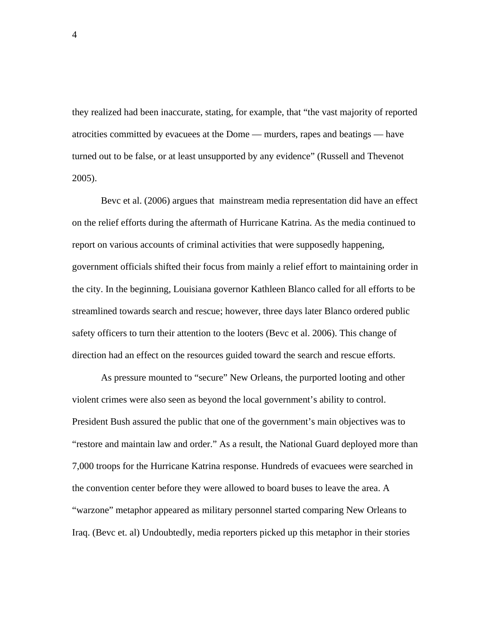they realized had been inaccurate, stating, for example, that "the vast majority of reported atrocities committed by evacuees at the Dome — murders, rapes and beatings — have turned out to be false, or at least unsupported by any evidence" (Russell and Thevenot 2005).

Bevc et al. (2006) argues that mainstream media representation did have an effect on the relief efforts during the aftermath of Hurricane Katrina. As the media continued to report on various accounts of criminal activities that were supposedly happening, government officials shifted their focus from mainly a relief effort to maintaining order in the city. In the beginning, Louisiana governor Kathleen Blanco called for all efforts to be streamlined towards search and rescue; however, three days later Blanco ordered public safety officers to turn their attention to the looters (Bevc et al. 2006). This change of direction had an effect on the resources guided toward the search and rescue efforts.

As pressure mounted to "secure" New Orleans, the purported looting and other violent crimes were also seen as beyond the local government's ability to control. President Bush assured the public that one of the government's main objectives was to "restore and maintain law and order." As a result, the National Guard deployed more than 7,000 troops for the Hurricane Katrina response. Hundreds of evacuees were searched in the convention center before they were allowed to board buses to leave the area. A "warzone" metaphor appeared as military personnel started comparing New Orleans to Iraq. (Bevc et. al) Undoubtedly, media reporters picked up this metaphor in their stories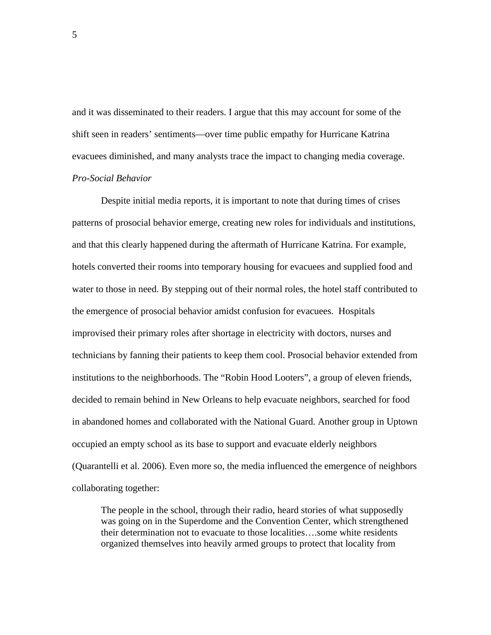and it was disseminated to their readers. I argue that this may account for some of the shift seen in readers' sentiments—over time public empathy for Hurricane Katrina evacuees diminished, and many analysts trace the impact to changing media coverage. *Pro-Social Behavior* 

 Despite initial media reports, it is important to note that during times of crises patterns of prosocial behavior emerge, creating new roles for individuals and institutions, and that this clearly happened during the aftermath of Hurricane Katrina. For example, hotels converted their rooms into temporary housing for evacuees and supplied food and water to those in need. By stepping out of their normal roles, the hotel staff contributed to the emergence of prosocial behavior amidst confusion for evacuees. Hospitals improvised their primary roles after shortage in electricity with doctors, nurses and technicians by fanning their patients to keep them cool. Prosocial behavior extended from institutions to the neighborhoods. The "Robin Hood Looters", a group of eleven friends, decided to remain behind in New Orleans to help evacuate neighbors, searched for food in abandoned homes and collaborated with the National Guard. Another group in Uptown occupied an empty school as its base to support and evacuate elderly neighbors (Quarantelli et al. 2006). Even more so, the media influenced the emergence of neighbors collaborating together:

The people in the school, through their radio, heard stories of what supposedly was going on in the Superdome and the Convention Center, which strengthened their determination not to evacuate to those localities….some white residents organized themselves into heavily armed groups to protect that locality from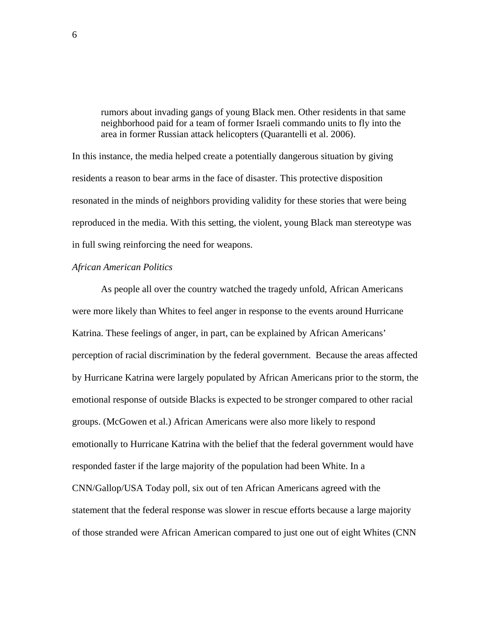rumors about invading gangs of young Black men. Other residents in that same neighborhood paid for a team of former Israeli commando units to fly into the area in former Russian attack helicopters (Quarantelli et al. 2006).

In this instance, the media helped create a potentially dangerous situation by giving residents a reason to bear arms in the face of disaster. This protective disposition resonated in the minds of neighbors providing validity for these stories that were being reproduced in the media. With this setting, the violent, young Black man stereotype was in full swing reinforcing the need for weapons.

## *African American Politics*

As people all over the country watched the tragedy unfold, African Americans were more likely than Whites to feel anger in response to the events around Hurricane Katrina. These feelings of anger, in part, can be explained by African Americans' perception of racial discrimination by the federal government. Because the areas affected by Hurricane Katrina were largely populated by African Americans prior to the storm, the emotional response of outside Blacks is expected to be stronger compared to other racial groups. (McGowen et al.) African Americans were also more likely to respond emotionally to Hurricane Katrina with the belief that the federal government would have responded faster if the large majority of the population had been White. In a CNN/Gallop/USA Today poll, six out of ten African Americans agreed with the statement that the federal response was slower in rescue efforts because a large majority of those stranded were African American compared to just one out of eight Whites (CNN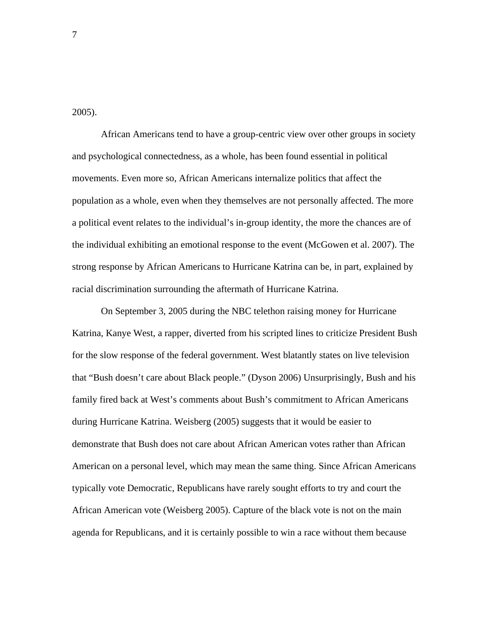2005).

African Americans tend to have a group-centric view over other groups in society and psychological connectedness, as a whole, has been found essential in political movements. Even more so, African Americans internalize politics that affect the population as a whole, even when they themselves are not personally affected. The more a political event relates to the individual's in-group identity, the more the chances are of the individual exhibiting an emotional response to the event (McGowen et al. 2007). The strong response by African Americans to Hurricane Katrina can be, in part, explained by racial discrimination surrounding the aftermath of Hurricane Katrina.

 On September 3, 2005 during the NBC telethon raising money for Hurricane Katrina, Kanye West, a rapper, diverted from his scripted lines to criticize President Bush for the slow response of the federal government. West blatantly states on live television that "Bush doesn't care about Black people." (Dyson 2006) Unsurprisingly, Bush and his family fired back at West's comments about Bush's commitment to African Americans during Hurricane Katrina. Weisberg (2005) suggests that it would be easier to demonstrate that Bush does not care about African American votes rather than African American on a personal level, which may mean the same thing. Since African Americans typically vote Democratic, Republicans have rarely sought efforts to try and court the African American vote (Weisberg 2005). Capture of the black vote is not on the main agenda for Republicans, and it is certainly possible to win a race without them because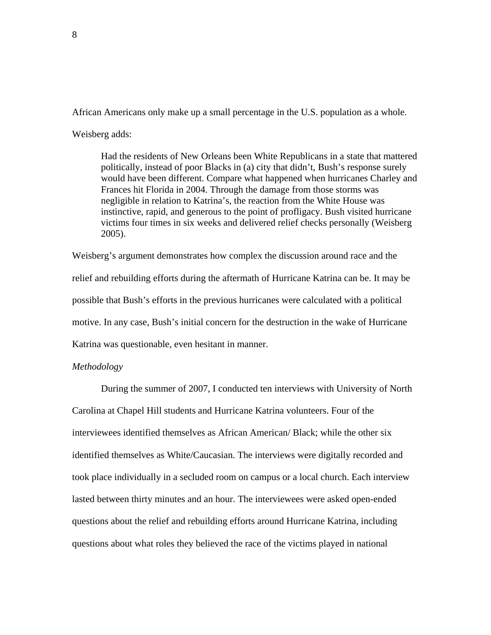African Americans only make up a small percentage in the U.S. population as a whole.

Weisberg adds:

Had the residents of New Orleans been White Republicans in a state that mattered politically, instead of poor Blacks in (a) city that didn't, Bush's response surely would have been different. Compare what happened when hurricanes Charley and Frances hit Florida in 2004. Through the damage from those storms was negligible in relation to Katrina's, the reaction from the White House was instinctive, rapid, and generous to the point of profligacy. Bush visited hurricane victims four times in six weeks and delivered relief checks personally (Weisberg 2005).

Weisberg's argument demonstrates how complex the discussion around race and the relief and rebuilding efforts during the aftermath of Hurricane Katrina can be. It may be possible that Bush's efforts in the previous hurricanes were calculated with a political motive. In any case, Bush's initial concern for the destruction in the wake of Hurricane Katrina was questionable, even hesitant in manner.

# *Methodology*

During the summer of 2007, I conducted ten interviews with University of North Carolina at Chapel Hill students and Hurricane Katrina volunteers. Four of the interviewees identified themselves as African American/ Black; while the other six identified themselves as White/Caucasian. The interviews were digitally recorded and took place individually in a secluded room on campus or a local church. Each interview lasted between thirty minutes and an hour. The interviewees were asked open-ended questions about the relief and rebuilding efforts around Hurricane Katrina, including questions about what roles they believed the race of the victims played in national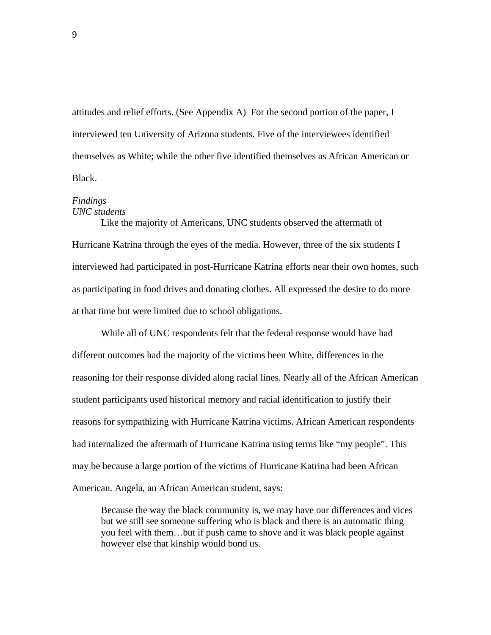attitudes and relief efforts. (See Appendix A) For the second portion of the paper, I interviewed ten University of Arizona students. Five of the interviewees identified themselves as White; while the other five identified themselves as African American or Black.

## *Findings UNC students*

 Like the majority of Americans, UNC students observed the aftermath of Hurricane Katrina through the eyes of the media. However, three of the six students I interviewed had participated in post-Hurricane Katrina efforts near their own homes, such as participating in food drives and donating clothes. All expressed the desire to do more at that time but were limited due to school obligations.

 While all of UNC respondents felt that the federal response would have had different outcomes had the majority of the victims been White, differences in the reasoning for their response divided along racial lines. Nearly all of the African American student participants used historical memory and racial identification to justify their reasons for sympathizing with Hurricane Katrina victims. African American respondents had internalized the aftermath of Hurricane Katrina using terms like "my people". This may be because a large portion of the victims of Hurricane Katrina had been African American. Angela, an African American student, says:

Because the way the black community is, we may have our differences and vices but we still see someone suffering who is black and there is an automatic thing you feel with them…but if push came to shove and it was black people against however else that kinship would bond us.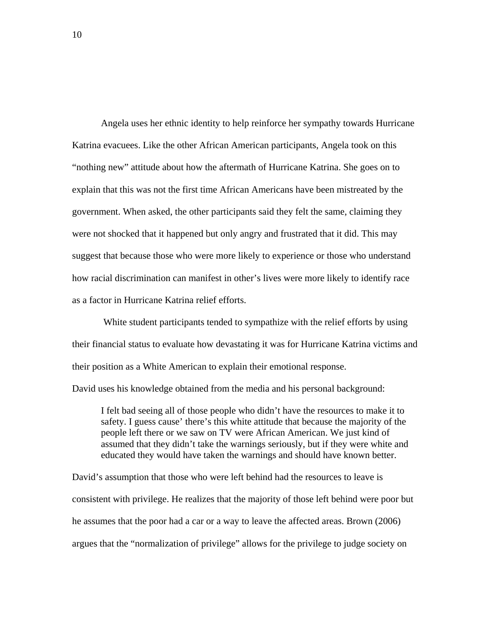Angela uses her ethnic identity to help reinforce her sympathy towards Hurricane Katrina evacuees. Like the other African American participants, Angela took on this "nothing new" attitude about how the aftermath of Hurricane Katrina. She goes on to explain that this was not the first time African Americans have been mistreated by the government. When asked, the other participants said they felt the same, claiming they were not shocked that it happened but only angry and frustrated that it did. This may suggest that because those who were more likely to experience or those who understand how racial discrimination can manifest in other's lives were more likely to identify race as a factor in Hurricane Katrina relief efforts.

 White student participants tended to sympathize with the relief efforts by using their financial status to evaluate how devastating it was for Hurricane Katrina victims and their position as a White American to explain their emotional response. David uses his knowledge obtained from the media and his personal background:

I felt bad seeing all of those people who didn't have the resources to make it to safety. I guess cause' there's this white attitude that because the majority of the people left there or we saw on TV were African American. We just kind of assumed that they didn't take the warnings seriously, but if they were white and educated they would have taken the warnings and should have known better.

David's assumption that those who were left behind had the resources to leave is consistent with privilege. He realizes that the majority of those left behind were poor but he assumes that the poor had a car or a way to leave the affected areas. Brown (2006) argues that the "normalization of privilege" allows for the privilege to judge society on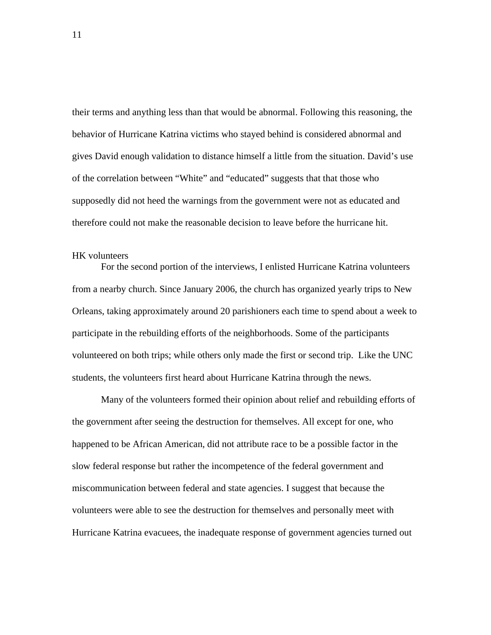their terms and anything less than that would be abnormal. Following this reasoning, the behavior of Hurricane Katrina victims who stayed behind is considered abnormal and gives David enough validation to distance himself a little from the situation. David's use of the correlation between "White" and "educated" suggests that that those who supposedly did not heed the warnings from the government were not as educated and therefore could not make the reasonable decision to leave before the hurricane hit.

## HK volunteers

 For the second portion of the interviews, I enlisted Hurricane Katrina volunteers from a nearby church. Since January 2006, the church has organized yearly trips to New Orleans, taking approximately around 20 parishioners each time to spend about a week to participate in the rebuilding efforts of the neighborhoods. Some of the participants volunteered on both trips; while others only made the first or second trip. Like the UNC students, the volunteers first heard about Hurricane Katrina through the news.

 Many of the volunteers formed their opinion about relief and rebuilding efforts of the government after seeing the destruction for themselves. All except for one, who happened to be African American, did not attribute race to be a possible factor in the slow federal response but rather the incompetence of the federal government and miscommunication between federal and state agencies. I suggest that because the volunteers were able to see the destruction for themselves and personally meet with Hurricane Katrina evacuees, the inadequate response of government agencies turned out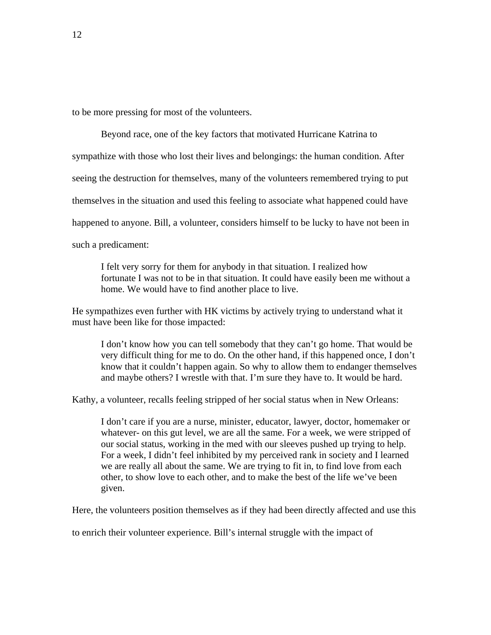to be more pressing for most of the volunteers.

 Beyond race, one of the key factors that motivated Hurricane Katrina to sympathize with those who lost their lives and belongings: the human condition. After seeing the destruction for themselves, many of the volunteers remembered trying to put themselves in the situation and used this feeling to associate what happened could have happened to anyone. Bill, a volunteer, considers himself to be lucky to have not been in such a predicament:

 I felt very sorry for them for anybody in that situation. I realized how fortunate I was not to be in that situation. It could have easily been me without a home. We would have to find another place to live.

He sympathizes even further with HK victims by actively trying to understand what it must have been like for those impacted:

 I don't know how you can tell somebody that they can't go home. That would be very difficult thing for me to do. On the other hand, if this happened once, I don't know that it couldn't happen again. So why to allow them to endanger themselves and maybe others? I wrestle with that. I'm sure they have to. It would be hard.

Kathy, a volunteer, recalls feeling stripped of her social status when in New Orleans:

 I don't care if you are a nurse, minister, educator, lawyer, doctor, homemaker or whatever- on this gut level, we are all the same. For a week, we were stripped of our social status, working in the med with our sleeves pushed up trying to help. For a week, I didn't feel inhibited by my perceived rank in society and I learned we are really all about the same. We are trying to fit in, to find love from each other, to show love to each other, and to make the best of the life we've been given.

Here, the volunteers position themselves as if they had been directly affected and use this

to enrich their volunteer experience. Bill's internal struggle with the impact of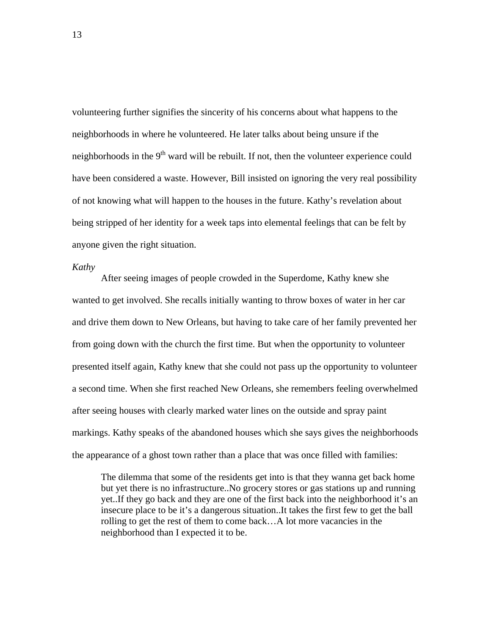volunteering further signifies the sincerity of his concerns about what happens to the neighborhoods in where he volunteered. He later talks about being unsure if the neighborhoods in the  $9<sup>th</sup>$  ward will be rebuilt. If not, then the volunteer experience could have been considered a waste. However, Bill insisted on ignoring the very real possibility of not knowing what will happen to the houses in the future. Kathy's revelation about being stripped of her identity for a week taps into elemental feelings that can be felt by anyone given the right situation.

#### *Kathy*

After seeing images of people crowded in the Superdome, Kathy knew she wanted to get involved. She recalls initially wanting to throw boxes of water in her car and drive them down to New Orleans, but having to take care of her family prevented her from going down with the church the first time. But when the opportunity to volunteer presented itself again, Kathy knew that she could not pass up the opportunity to volunteer a second time. When she first reached New Orleans, she remembers feeling overwhelmed after seeing houses with clearly marked water lines on the outside and spray paint markings. Kathy speaks of the abandoned houses which she says gives the neighborhoods the appearance of a ghost town rather than a place that was once filled with families:

The dilemma that some of the residents get into is that they wanna get back home but yet there is no infrastructure..No grocery stores or gas stations up and running yet..If they go back and they are one of the first back into the neighborhood it's an insecure place to be it's a dangerous situation..It takes the first few to get the ball rolling to get the rest of them to come back…A lot more vacancies in the neighborhood than I expected it to be.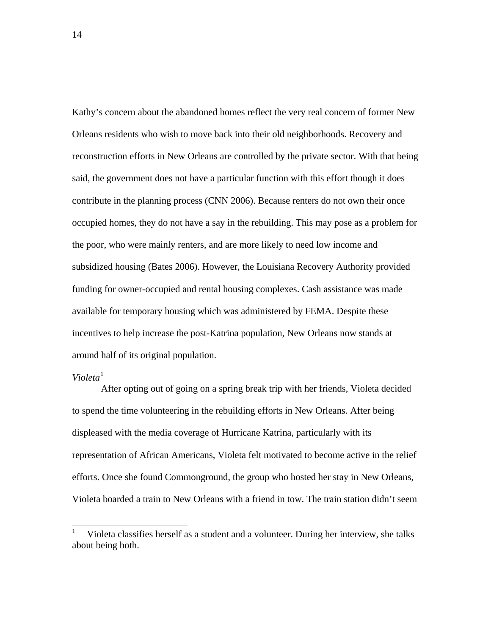Kathy's concern about the abandoned homes reflect the very real concern of former New Orleans residents who wish to move back into their old neighborhoods. Recovery and reconstruction efforts in New Orleans are controlled by the private sector. With that being said, the government does not have a particular function with this effort though it does contribute in the planning process (CNN 2006). Because renters do not own their once occupied homes, they do not have a say in the rebuilding. This may pose as a problem for the poor, who were mainly renters, and are more likely to need low income and subsidized housing (Bates 2006). However, the Louisiana Recovery Authority provided funding for owner-occupied and rental housing complexes. Cash assistance was made available for temporary housing which was administered by FEMA. Despite these incentives to help increase the post-Katrina population, New Orleans now stands at around half of its original population.

# *Violeta*[1](#page-13-0)

 $\overline{a}$ 

 After opting out of going on a spring break trip with her friends, Violeta decided to spend the time volunteering in the rebuilding efforts in New Orleans. After being displeased with the media coverage of Hurricane Katrina, particularly with its representation of African Americans, Violeta felt motivated to become active in the relief efforts. Once she found Commonground, the group who hosted her stay in New Orleans, Violeta boarded a train to New Orleans with a friend in tow. The train station didn't seem

<span id="page-13-0"></span><sup>1</sup> Violeta classifies herself as a student and a volunteer. During her interview, she talks about being both.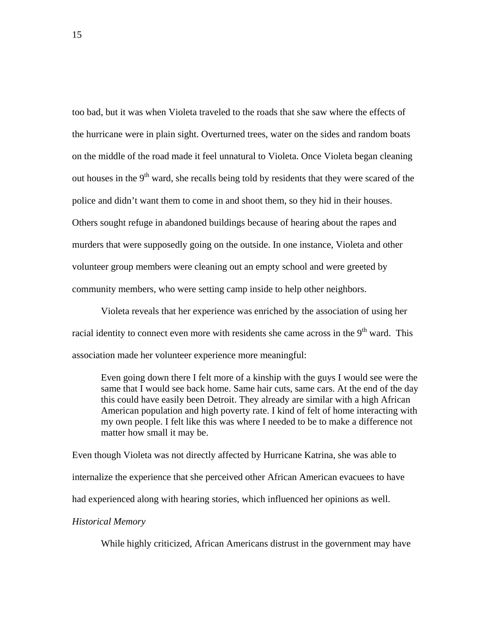too bad, but it was when Violeta traveled to the roads that she saw where the effects of the hurricane were in plain sight. Overturned trees, water on the sides and random boats on the middle of the road made it feel unnatural to Violeta. Once Violeta began cleaning out houses in the  $9<sup>th</sup>$  ward, she recalls being told by residents that they were scared of the police and didn't want them to come in and shoot them, so they hid in their houses. Others sought refuge in abandoned buildings because of hearing about the rapes and murders that were supposedly going on the outside. In one instance, Violeta and other volunteer group members were cleaning out an empty school and were greeted by community members, who were setting camp inside to help other neighbors.

 Violeta reveals that her experience was enriched by the association of using her racial identity to connect even more with residents she came across in the  $9<sup>th</sup>$  ward. This association made her volunteer experience more meaningful:

Even going down there I felt more of a kinship with the guys I would see were the same that I would see back home. Same hair cuts, same cars. At the end of the day this could have easily been Detroit. They already are similar with a high African American population and high poverty rate. I kind of felt of home interacting with my own people. I felt like this was where I needed to be to make a difference not matter how small it may be.

Even though Violeta was not directly affected by Hurricane Katrina, she was able to internalize the experience that she perceived other African American evacuees to have had experienced along with hearing stories, which influenced her opinions as well.

# *Historical Memory*

While highly criticized, African Americans distrust in the government may have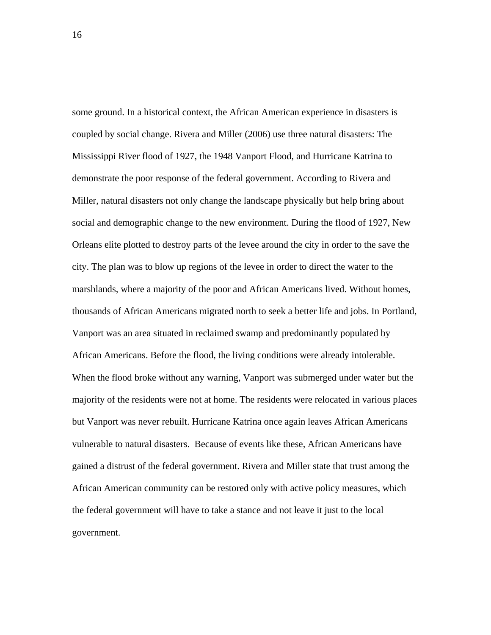some ground. In a historical context, the African American experience in disasters is coupled by social change. Rivera and Miller (2006) use three natural disasters: The Mississippi River flood of 1927, the 1948 Vanport Flood, and Hurricane Katrina to demonstrate the poor response of the federal government. According to Rivera and Miller, natural disasters not only change the landscape physically but help bring about social and demographic change to the new environment. During the flood of 1927, New Orleans elite plotted to destroy parts of the levee around the city in order to the save the city. The plan was to blow up regions of the levee in order to direct the water to the marshlands, where a majority of the poor and African Americans lived. Without homes, thousands of African Americans migrated north to seek a better life and jobs. In Portland, Vanport was an area situated in reclaimed swamp and predominantly populated by African Americans. Before the flood, the living conditions were already intolerable. When the flood broke without any warning, Vanport was submerged under water but the majority of the residents were not at home. The residents were relocated in various places but Vanport was never rebuilt. Hurricane Katrina once again leaves African Americans vulnerable to natural disasters. Because of events like these, African Americans have gained a distrust of the federal government. Rivera and Miller state that trust among the African American community can be restored only with active policy measures, which the federal government will have to take a stance and not leave it just to the local government.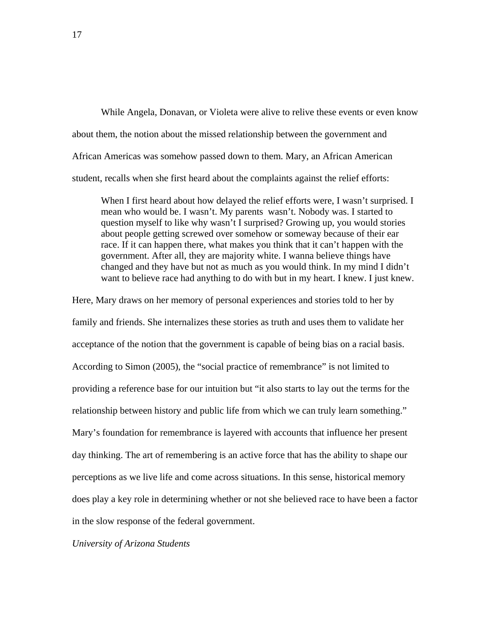While Angela, Donavan, or Violeta were alive to relive these events or even know about them, the notion about the missed relationship between the government and African Americas was somehow passed down to them. Mary, an African American student, recalls when she first heard about the complaints against the relief efforts:

When I first heard about how delayed the relief efforts were, I wasn't surprised. I mean who would be. I wasn't. My parents wasn't. Nobody was. I started to question myself to like why wasn't I surprised? Growing up, you would stories about people getting screwed over somehow or someway because of their ear race. If it can happen there, what makes you think that it can't happen with the government. After all, they are majority white. I wanna believe things have changed and they have but not as much as you would think. In my mind I didn't want to believe race had anything to do with but in my heart. I knew. I just knew.

Here, Mary draws on her memory of personal experiences and stories told to her by family and friends. She internalizes these stories as truth and uses them to validate her acceptance of the notion that the government is capable of being bias on a racial basis. According to Simon (2005), the "social practice of remembrance" is not limited to providing a reference base for our intuition but "it also starts to lay out the terms for the relationship between history and public life from which we can truly learn something." Mary's foundation for remembrance is layered with accounts that influence her present day thinking. The art of remembering is an active force that has the ability to shape our perceptions as we live life and come across situations. In this sense, historical memory does play a key role in determining whether or not she believed race to have been a factor in the slow response of the federal government.

*University of Arizona Students*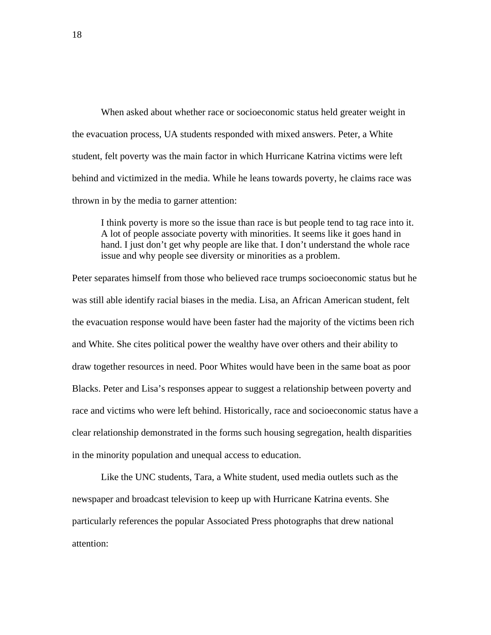When asked about whether race or socioeconomic status held greater weight in the evacuation process, UA students responded with mixed answers. Peter, a White student, felt poverty was the main factor in which Hurricane Katrina victims were left behind and victimized in the media. While he leans towards poverty, he claims race was thrown in by the media to garner attention:

I think poverty is more so the issue than race is but people tend to tag race into it. A lot of people associate poverty with minorities. It seems like it goes hand in hand. I just don't get why people are like that. I don't understand the whole race issue and why people see diversity or minorities as a problem.

Peter separates himself from those who believed race trumps socioeconomic status but he was still able identify racial biases in the media. Lisa, an African American student, felt the evacuation response would have been faster had the majority of the victims been rich and White. She cites political power the wealthy have over others and their ability to draw together resources in need. Poor Whites would have been in the same boat as poor Blacks. Peter and Lisa's responses appear to suggest a relationship between poverty and race and victims who were left behind. Historically, race and socioeconomic status have a clear relationship demonstrated in the forms such housing segregation, health disparities in the minority population and unequal access to education.

Like the UNC students, Tara, a White student, used media outlets such as the newspaper and broadcast television to keep up with Hurricane Katrina events. She particularly references the popular Associated Press photographs that drew national attention: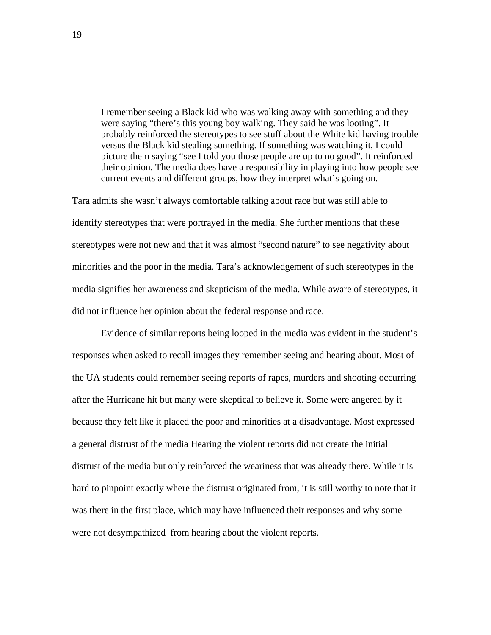I remember seeing a Black kid who was walking away with something and they were saying "there's this young boy walking. They said he was looting". It probably reinforced the stereotypes to see stuff about the White kid having trouble versus the Black kid stealing something. If something was watching it, I could picture them saying "see I told you those people are up to no good". It reinforced their opinion. The media does have a responsibility in playing into how people see current events and different groups, how they interpret what's going on.

Tara admits she wasn't always comfortable talking about race but was still able to identify stereotypes that were portrayed in the media. She further mentions that these stereotypes were not new and that it was almost "second nature" to see negativity about minorities and the poor in the media. Tara's acknowledgement of such stereotypes in the media signifies her awareness and skepticism of the media. While aware of stereotypes, it did not influence her opinion about the federal response and race.

 Evidence of similar reports being looped in the media was evident in the student's responses when asked to recall images they remember seeing and hearing about. Most of the UA students could remember seeing reports of rapes, murders and shooting occurring after the Hurricane hit but many were skeptical to believe it. Some were angered by it because they felt like it placed the poor and minorities at a disadvantage. Most expressed a general distrust of the media Hearing the violent reports did not create the initial distrust of the media but only reinforced the weariness that was already there. While it is hard to pinpoint exactly where the distrust originated from, it is still worthy to note that it was there in the first place, which may have influenced their responses and why some were not desympathized from hearing about the violent reports.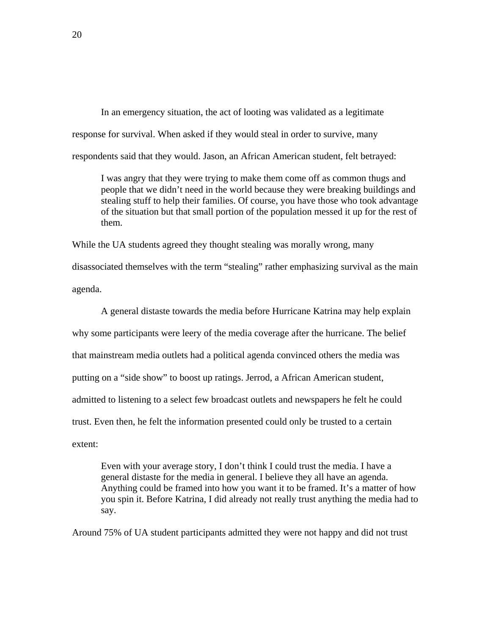In an emergency situation, the act of looting was validated as a legitimate response for survival. When asked if they would steal in order to survive, many respondents said that they would. Jason, an African American student, felt betrayed:

I was angry that they were trying to make them come off as common thugs and people that we didn't need in the world because they were breaking buildings and stealing stuff to help their families. Of course, you have those who took advantage of the situation but that small portion of the population messed it up for the rest of them.

While the UA students agreed they thought stealing was morally wrong, many disassociated themselves with the term "stealing" rather emphasizing survival as the main agenda.

A general distaste towards the media before Hurricane Katrina may help explain why some participants were leery of the media coverage after the hurricane. The belief that mainstream media outlets had a political agenda convinced others the media was putting on a "side show" to boost up ratings. Jerrod, a African American student, admitted to listening to a select few broadcast outlets and newspapers he felt he could trust. Even then, he felt the information presented could only be trusted to a certain extent:

Even with your average story, I don't think I could trust the media. I have a general distaste for the media in general. I believe they all have an agenda. Anything could be framed into how you want it to be framed. It's a matter of how you spin it. Before Katrina, I did already not really trust anything the media had to say.

Around 75% of UA student participants admitted they were not happy and did not trust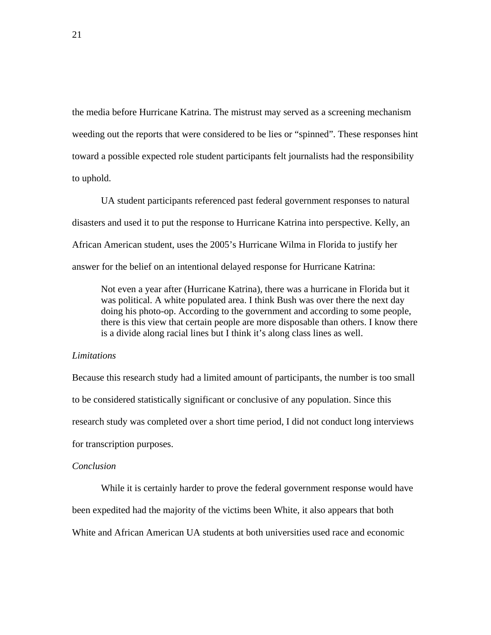the media before Hurricane Katrina. The mistrust may served as a screening mechanism weeding out the reports that were considered to be lies or "spinned". These responses hint toward a possible expected role student participants felt journalists had the responsibility to uphold.

 UA student participants referenced past federal government responses to natural disasters and used it to put the response to Hurricane Katrina into perspective. Kelly, an African American student, uses the 2005's Hurricane Wilma in Florida to justify her answer for the belief on an intentional delayed response for Hurricane Katrina:

Not even a year after (Hurricane Katrina), there was a hurricane in Florida but it was political. A white populated area. I think Bush was over there the next day doing his photo-op. According to the government and according to some people, there is this view that certain people are more disposable than others. I know there is a divide along racial lines but I think it's along class lines as well.

#### *Limitations*

Because this research study had a limited amount of participants, the number is too small to be considered statistically significant or conclusive of any population. Since this research study was completed over a short time period, I did not conduct long interviews for transcription purposes.

## *Conclusion*

While it is certainly harder to prove the federal government response would have been expedited had the majority of the victims been White, it also appears that both White and African American UA students at both universities used race and economic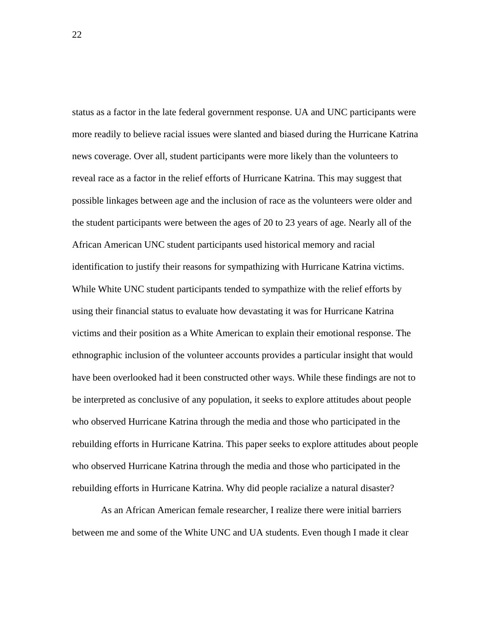status as a factor in the late federal government response. UA and UNC participants were more readily to believe racial issues were slanted and biased during the Hurricane Katrina news coverage. Over all, student participants were more likely than the volunteers to reveal race as a factor in the relief efforts of Hurricane Katrina. This may suggest that possible linkages between age and the inclusion of race as the volunteers were older and the student participants were between the ages of 20 to 23 years of age. Nearly all of the African American UNC student participants used historical memory and racial identification to justify their reasons for sympathizing with Hurricane Katrina victims. While White UNC student participants tended to sympathize with the relief efforts by using their financial status to evaluate how devastating it was for Hurricane Katrina victims and their position as a White American to explain their emotional response. The ethnographic inclusion of the volunteer accounts provides a particular insight that would have been overlooked had it been constructed other ways. While these findings are not to be interpreted as conclusive of any population, it seeks to explore attitudes about people who observed Hurricane Katrina through the media and those who participated in the rebuilding efforts in Hurricane Katrina. This paper seeks to explore attitudes about people who observed Hurricane Katrina through the media and those who participated in the rebuilding efforts in Hurricane Katrina. Why did people racialize a natural disaster?

 As an African American female researcher, I realize there were initial barriers between me and some of the White UNC and UA students. Even though I made it clear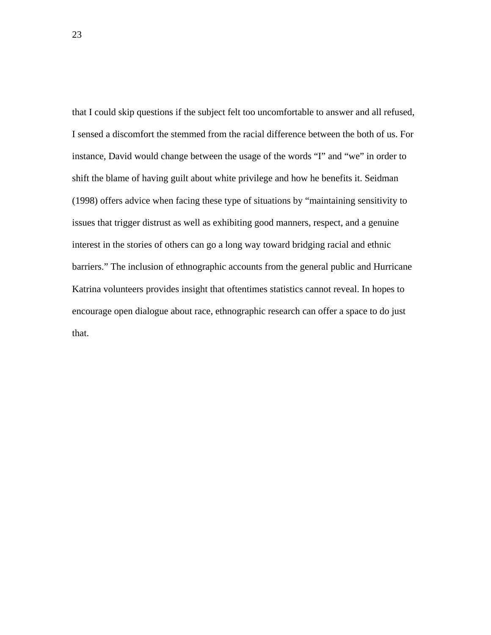that I could skip questions if the subject felt too uncomfortable to answer and all refused, I sensed a discomfort the stemmed from the racial difference between the both of us. For instance, David would change between the usage of the words "I" and "we" in order to shift the blame of having guilt about white privilege and how he benefits it. Seidman (1998) offers advice when facing these type of situations by "maintaining sensitivity to issues that trigger distrust as well as exhibiting good manners, respect, and a genuine interest in the stories of others can go a long way toward bridging racial and ethnic barriers." The inclusion of ethnographic accounts from the general public and Hurricane Katrina volunteers provides insight that oftentimes statistics cannot reveal. In hopes to encourage open dialogue about race, ethnographic research can offer a space to do just that.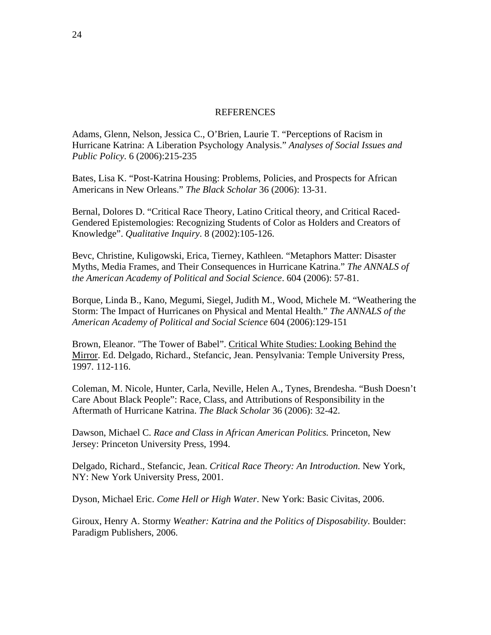# REFERENCES

Adams, Glenn, Nelson, Jessica C., O'Brien, Laurie T. "Perceptions of Racism in Hurricane Katrina: A Liberation Psychology Analysis." *Analyses of Social Issues and Public Policy.* 6 (2006):215-235

Bates, Lisa K. "Post-Katrina Housing: Problems, Policies, and Prospects for African Americans in New Orleans." *The Black Scholar* 36 (2006): 13-31.

Bernal, Dolores D. "Critical Race Theory, Latino Critical theory, and Critical Raced-Gendered Epistemologies: Recognizing Students of Color as Holders and Creators of Knowledge". *Qualitative Inquiry*. 8 (2002):105-126.

Bevc, Christine, Kuligowski, Erica, Tierney, Kathleen. "Metaphors Matter: Disaster Myths, Media Frames, and Their Consequences in Hurricane Katrina." *The ANNALS of the American Academy of Political and Social Science*. 604 (2006): 57-81.

Borque, Linda B., Kano, Megumi, Siegel, Judith M., Wood, Michele M. "Weathering the Storm: The Impact of Hurricanes on Physical and Mental Health." *The ANNALS of the American Academy of Political and Social Science* 604 (2006):129-151

Brown, Eleanor. "The Tower of Babel". Critical White Studies: Looking Behind the Mirror. Ed. Delgado, Richard., Stefancic, Jean. Pensylvania: Temple University Press, 1997. 112-116.

Coleman, M. Nicole, Hunter, Carla, Neville, Helen A., Tynes, Brendesha. "Bush Doesn't Care About Black People": Race, Class, and Attributions of Responsibility in the Aftermath of Hurricane Katrina. *The Black Scholar* 36 (2006): 32-42.

Dawson, Michael C. *Race and Class in African American Politics.* Princeton, New Jersey: Princeton University Press, 1994.

Delgado, Richard., Stefancic, Jean. *Critical Race Theory: An Introduction*. New York, NY: New York University Press, 2001.

Dyson, Michael Eric. *Come Hell or High Water*. New York: Basic Civitas, 2006.

Giroux, Henry A. Stormy *Weather: Katrina and the Politics of Disposability*. Boulder: Paradigm Publishers, 2006.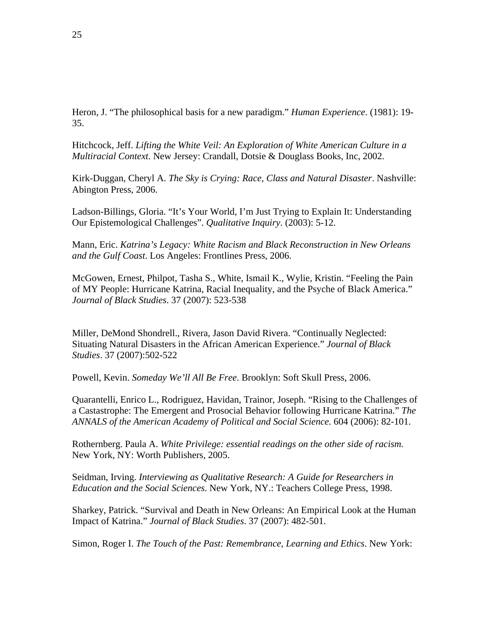Heron, J. "The philosophical basis for a new paradigm." *Human Experience*. (1981): 19- 35.

Hitchcock, Jeff. *Lifting the White Veil: An Exploration of White American Culture in a Multiracial Context*. New Jersey: Crandall, Dotsie & Douglass Books, Inc, 2002.

Kirk-Duggan, Cheryl A. *The Sky is Crying: Race, Class and Natural Disaster*. Nashville: Abington Press, 2006.

Ladson-Billings, Gloria. "It's Your World, I'm Just Trying to Explain It: Understanding Our Epistemological Challenges". *Qualitative Inquiry*. (2003): 5-12.

Mann, Eric. *Katrina's Legacy: White Racism and Black Reconstruction in New Orleans and the Gulf Coast*. Los Angeles: Frontlines Press, 2006.

McGowen, Ernest, Philpot, Tasha S., White, Ismail K., Wylie, Kristin. "Feeling the Pain of MY People: Hurricane Katrina, Racial Inequality, and the Psyche of Black America." *Journal of Black Studies*. 37 (2007): 523-538

Miller, DeMond Shondrell., Rivera, Jason David Rivera. "Continually Neglected: Situating Natural Disasters in the African American Experience." *Journal of Black Studies*. 37 (2007):502-522

Powell, Kevin. *Someday We'll All Be Free*. Brooklyn: Soft Skull Press, 2006.

Quarantelli, Enrico L., Rodriguez, Havidan, Trainor, Joseph. "Rising to the Challenges of a Castastrophe: The Emergent and Prosocial Behavior following Hurricane Katrina." *The ANNALS of the American Academy of Political and Social Science.* 604 (2006): 82-101.

Rothernberg. Paula A. *White Privilege: essential readings on the other side of racism.*  New York, NY: Worth Publishers, 2005.

Seidman, Irving. *Interviewing as Qualitative Research: A Guide for Researchers in Education and the Social Sciences*. New York, NY.: Teachers College Press, 1998.

Sharkey, Patrick. "Survival and Death in New Orleans: An Empirical Look at the Human Impact of Katrina." *Journal of Black Studies*. 37 (2007): 482-501.

Simon, Roger I. *The Touch of the Past: Remembrance, Learning and Ethics*. New York: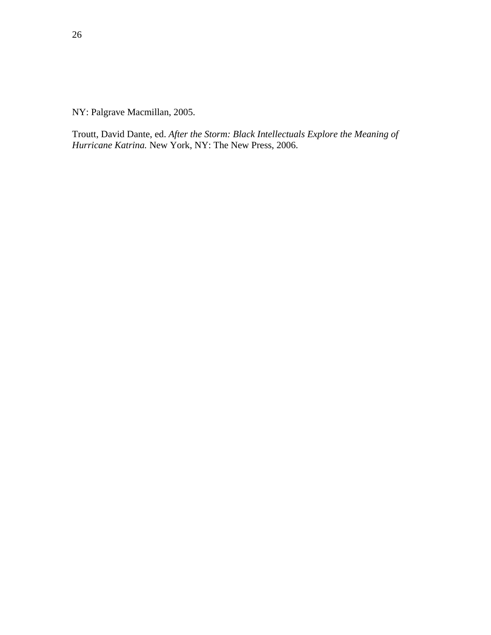NY: Palgrave Macmillan, 2005.

Troutt, David Dante, ed. *After the Storm: Black Intellectuals Explore the Meaning of Hurricane Katrina.* New York, NY: The New Press, 2006.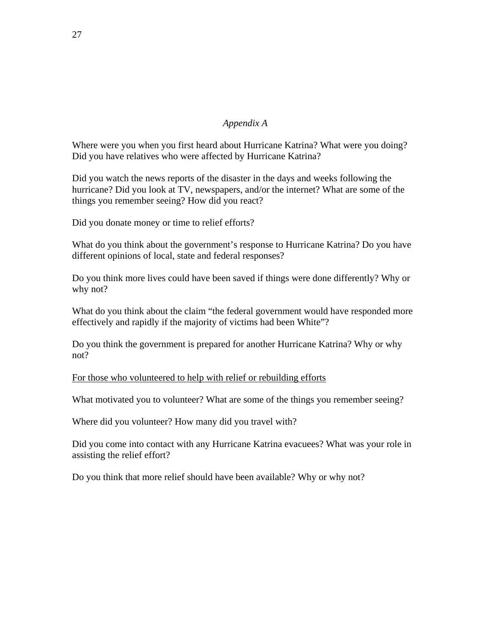# *Appendix A*

Where were you when you first heard about Hurricane Katrina? What were you doing? Did you have relatives who were affected by Hurricane Katrina?

Did you watch the news reports of the disaster in the days and weeks following the hurricane? Did you look at TV, newspapers, and/or the internet? What are some of the things you remember seeing? How did you react?

Did you donate money or time to relief efforts?

What do you think about the government's response to Hurricane Katrina? Do you have different opinions of local, state and federal responses?

Do you think more lives could have been saved if things were done differently? Why or why not?

What do you think about the claim "the federal government would have responded more effectively and rapidly if the majority of victims had been White"?

Do you think the government is prepared for another Hurricane Katrina? Why or why not?

For those who volunteered to help with relief or rebuilding efforts

What motivated you to volunteer? What are some of the things you remember seeing?

Where did you volunteer? How many did you travel with?

Did you come into contact with any Hurricane Katrina evacuees? What was your role in assisting the relief effort?

Do you think that more relief should have been available? Why or why not?